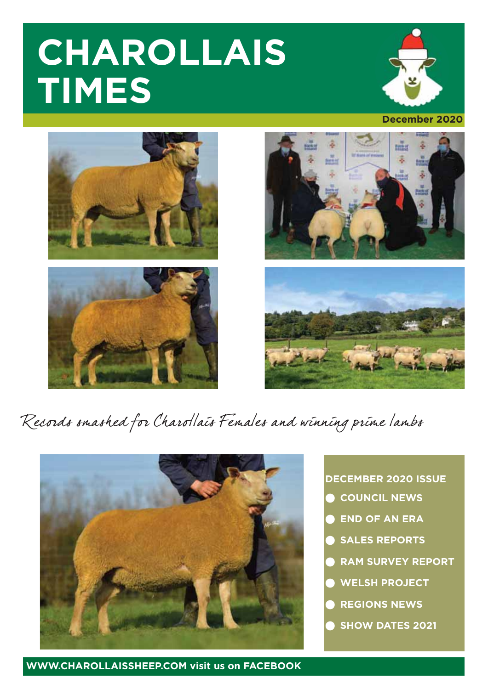# **CHAROLLAIS TIMES**









# Records smashed for Charollais Females and winning prime lambs



### **DECEMBER 2020 ISSUE**

- **COUNCIL NEWS**
- **END OF AN ERA**
- **SALES REPORTS**
- **RAM SURVEY REPORT**
- **WELSH PROJECT**
- **REGIONS NEWS**
- **SHOW DATES 2021**

**WWW.CHAROLLAISSHEEP.COM visit us on FACEBOOK**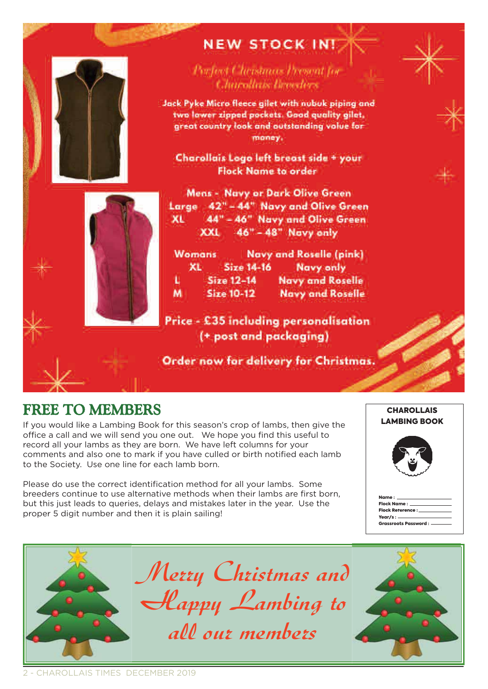

# **NEW STOCK IN!**

Porfect Christmas Descat for Charollais beneders

Jack Pyke Micro fleece gilet with nubuk piping and two lower zioped pockets. Good quality ailet. great country look and outstanding volue for money.

Charollais Logo left breast side + your **Flock Name to order** 

Mens - Navy or Dark Olive Green Large 42" - 44" Navy and Olive Green 44" - 46" Navy and Olive Green XL. 46" - 48" Navy only XXI

Navy and Roselle (pink) **Womans** XL. Size 14-16 Navy only  $Size 12-14$ u **Navy and Roselle Size 10-12** M **Navy and Roselle** 

Price - £35 including personalisation (+ post and packaging)

Order now for delivery for Christmas.

### FREE TO MEMBERS

If you would like a Lambing Book for this season's crop of lambs, then give the office a call and we will send you one out. We hope you find this useful to record all your lambs as they are born. We have left columns for your comments and also one to mark if you have culled or birth notified each lamb to the Society. Use one line for each lamb born.

Please do use the correct identification method for all your lambs. Some breeders continue to use alternative methods when their lambs are first born, but this just leads to queries, delays and mistakes later in the year. Use the proper 5 digit number and then it is plain sailing!

**CHAROLLAIS<br>LAMBING BOOK** 

**CHAROLLAIS** 

ļ Flock Name : f Flock Reference : Grassroots Password : Name : Year/s:

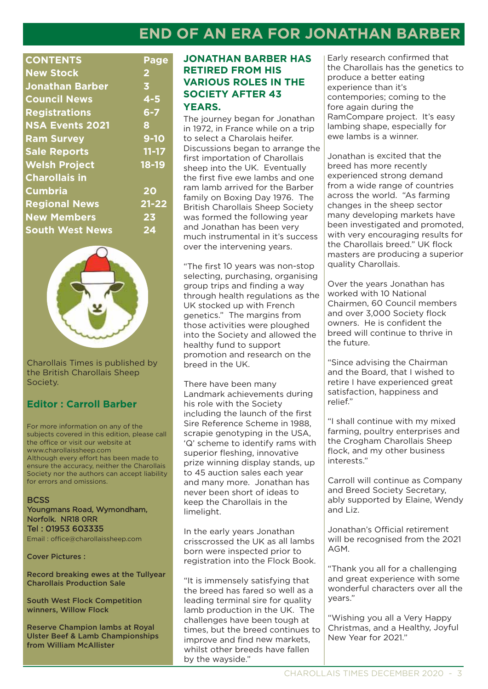# **END OF AN ERA FOR JONATHAN BARBER**

| <b>CONTENTS</b>        | Page                    |
|------------------------|-------------------------|
| <b>New Stock</b>       | $\overline{\mathbf{2}}$ |
| <b>Jonathan Barber</b> | 3                       |
| <b>Council News</b>    | $4 - 5$                 |
| <b>Registrations</b>   | $6 - 7$                 |
| <b>NSA Events 2021</b> | 8                       |
| <b>Ram Survey</b>      | $9 - 10$                |
| <b>Sale Reports</b>    | $11 - 17$               |
| <b>Welsh Project</b>   | 18-19                   |
| <b>Charollais in</b>   |                         |
| <b>Cumbria</b>         | 20                      |
| <b>Regional News</b>   | $21 - 22$               |
| <b>New Members</b>     | 23                      |
| <b>South West News</b> | 24                      |
|                        |                         |



Charollais Times is published by the British Charollais Sheep Society.

### **Editor : Carroll Barber**

For more information on any of the subjects covered in this edition, please call the office or visit our website at www.charollaissheep.com Although every effort has been made to ensure the accuracy, neither the Charollais Society nor the authors can accept liability for errors and omissions.

#### **BCSS**

Youngmans Road, Wymondham, Norfolk. NR18 0RR Tel : 01953 603335 Email : office@charollaissheep.com

Cover Pictures :

Record breaking ewes at the Tullyear Charollais Production Sale

South West Flock Competition winners, Willow Flock

Reserve Champion lambs at Royal Ulster Beef & Lamb Championships from William McAllister

### **JONATHAN BARBER HAS RETIRED FROM HIS VARIOUS ROLES IN THE SOCIETY AFTER 43 YEARS.**

The journey began for Jonathan in 1972, in France while on a trip to select a Charolais heifer. Discussions began to arrange the first importation of Charollais sheep into the UK. Eventually the first five ewe lambs and one ram lamb arrived for the Barber family on Boxing Day 1976. The British Charollais Sheep Society was formed the following year and Jonathan has been very much instrumental in it's success over the intervening years.

"The first 10 years was non-stop selecting, purchasing, organising group trips and finding a way through health regulations as the UK stocked up with French genetics." The margins from those activities were ploughed into the Society and allowed the healthy fund to support promotion and research on the breed in the UK.

There have been many Landmark achievements during his role with the Society including the launch of the first Sire Reference Scheme in 1988, scrapie genotyping in the USA, 'Q' scheme to identify rams with superior fleshing, innovative prize winning display stands, up to 45 auction sales each year and many more. Jonathan has never been short of ideas to keep the Charollais in the limelight.

In the early years Jonathan crisscrossed the UK as all lambs born were inspected prior to registration into the Flock Book.

"It is immensely satisfying that the breed has fared so well as a leading terminal sire for quality lamb production in the UK. The challenges have been tough at times, but the breed continues to improve and find new markets, whilst other breeds have fallen by the wayside."

Early research confirmed that the Charollais has the genetics to produce a better eating experience than it's contempories; coming to the fore again during the RamCompare project. It's easy lambing shape, especially for ewe lambs is a winner.

Jonathan is excited that the breed has more recently experienced strong demand from a wide range of countries across the world. "As farming changes in the sheep sector many developing markets have been investigated and promoted, with very encouraging results for the Charollais breed." UK flock masters are producing a superior quality Charollais.

Over the years Jonathan has worked with 10 National Chairmen, 60 Council members and over 3,000 Society flock owners. He is confident the breed will continue to thrive in the future.

"Since advising the Chairman and the Board, that I wished to retire I have experienced great satisfaction, happiness and relief."

"I shall continue with my mixed farming, poultry enterprises and the Crogham Charollais Sheep flock, and my other business interests."

Carroll will continue as Company and Breed Society Secretary, ably supported by Elaine, Wendy and Liz.

Jonathan's Official retirement will be recognised from the 2021 AGM.

"Thank you all for a challenging and great experience with some wonderful characters over all the years."

"Wishing you all a Very Happy Christmas, and a Healthy, Joyful New Year for 2021."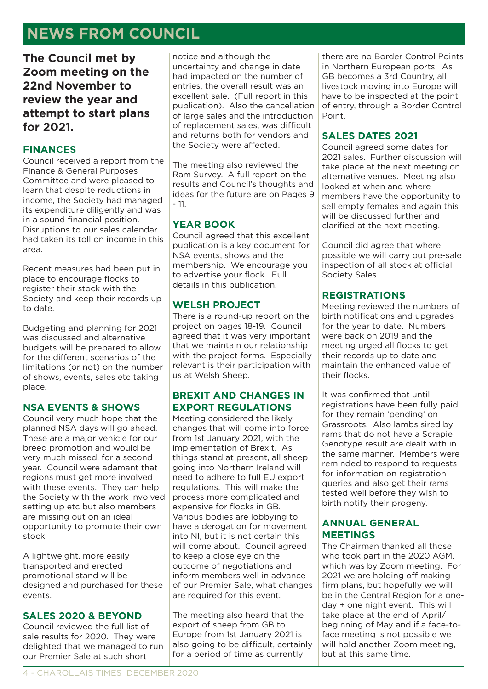# **NEWS FROM COUNCIL**

**The Council met by Zoom meeting on the 22nd November to review the year and attempt to start plans for 2021.** 

### **FINANCES**

Council received a report from the Finance & General Purposes Committee and were pleased to learn that despite reductions in income, the Society had managed its expenditure diligently and was in a sound financial position. Disruptions to our sales calendar had taken its toll on income in this area.

Recent measures had been put in place to encourage flocks to register their stock with the Society and keep their records up to date.

Budgeting and planning for 2021 was discussed and alternative budgets will be prepared to allow for the different scenarios of the limitations (or not) on the number of shows, events, sales etc taking place.

### **NSA EVENTS & SHOWS**

Council very much hope that the planned NSA days will go ahead. These are a major vehicle for our breed promotion and would be very much missed, for a second year. Council were adamant that regions must get more involved with these events. They can help the Society with the work involved setting up etc but also members are missing out on an ideal opportunity to promote their own stock.

A lightweight, more easily transported and erected promotional stand will be designed and purchased for these events.

### **SALES 2020 & BEYOND**

Council reviewed the full list of sale results for 2020. They were delighted that we managed to run our Premier Sale at such short

notice and although the uncertainty and change in date had impacted on the number of entries, the overall result was an excellent sale. (Full report in this publication). Also the cancellation of large sales and the introduction of replacement sales, was difficult and returns both for vendors and the Society were affected.

The meeting also reviewed the Ram Survey. A full report on the results and Council's thoughts and ideas for the future are on Pages 9  $-11$ .

### **YEAR BOOK**

Council agreed that this excellent publication is a key document for NSA events, shows and the membership. We encourage you to advertise your flock. Full details in this publication.

### **WELSH PROJECT**

There is a round-up report on the project on pages 18-19. Council agreed that it was very important that we maintain our relationship with the project forms. Especially relevant is their participation with us at Welsh Sheep.

### **BREXIT AND CHANGES IN EXPORT REGULATIONS**

Meeting considered the likely changes that will come into force from 1st January 2021, with the implementation of Brexit. As things stand at present, all sheep going into Northern Ireland will need to adhere to full EU export regulations. This will make the process more complicated and expensive for flocks in GB. Various bodies are lobbying to have a derogation for movement into NI, but it is not certain this will come about. Council agreed to keep a close eye on the outcome of negotiations and inform members well in advance of our Premier Sale, what changes are required for this event.

The meeting also heard that the export of sheep from GB to Europe from 1st January 2021 is also going to be difficult, certainly for a period of time as currently

there are no Border Control Points in Northern European ports. As GB becomes a 3rd Country, all livestock moving into Europe will have to be inspected at the point of entry, through a Border Control Point.

### **SALES DATES 2021**

Council agreed some dates for 2021 sales. Further discussion will take place at the next meeting on alternative venues. Meeting also looked at when and where members have the opportunity to sell empty females and again this will be discussed further and clarified at the next meeting.

Council did agree that where possible we will carry out pre-sale inspection of all stock at official Society Sales.

### **REGISTRATIONS**

Meeting reviewed the numbers of birth notifications and upgrades for the year to date. Numbers were back on 2019 and the meeting urged all flocks to get their records up to date and maintain the enhanced value of their flocks.

It was confirmed that until registrations have been fully paid for they remain 'pending' on Grassroots. Also lambs sired by rams that do not have a Scrapie Genotype result are dealt with in the same manner. Members were reminded to respond to requests for information on registration queries and also get their rams tested well before they wish to birth notify their progeny.

### **ANNUAL GENERAL MEETINGS**

The Chairman thanked all those who took part in the 2020 AGM, which was by Zoom meeting. For 2021 we are holding off making firm plans, but hopefully we will be in the Central Region for a oneday + one night event. This will take place at the end of April/ beginning of May and if a face-toface meeting is not possible we will hold another Zoom meeting, but at this same time.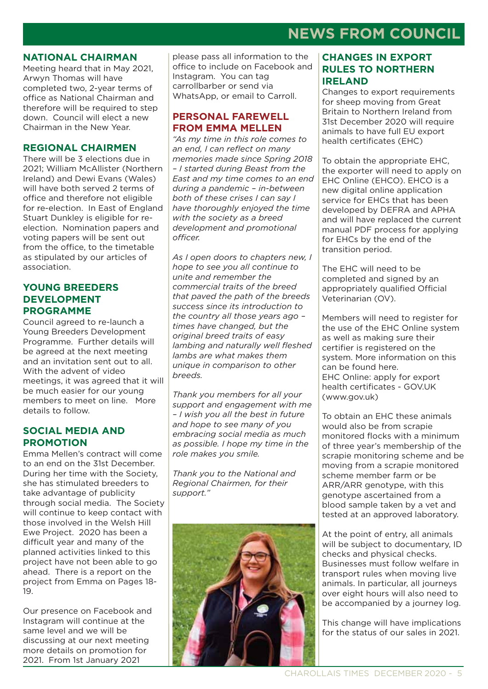# **NEWS FROM COUNCIL**

#### **NATIONAL CHAIRMAN**

Meeting heard that in May 2021, Arwyn Thomas will have completed two, 2-year terms of office as National Chairman and therefore will be required to step down. Council will elect a new Chairman in the New Year.

### **REGIONAL CHAIRMEN**

There will be 3 elections due in 2021; William McAllister (Northern Ireland) and Dewi Evans (Wales) will have both served 2 terms of office and therefore not eligible for re-election. In East of England Stuart Dunkley is eligible for reelection. Nomination papers and voting papers will be sent out from the office, to the timetable as stipulated by our articles of association.

### **YOUNG BREEDERS DEVELOPMENT PROGRAMME**

Council agreed to re-launch a Young Breeders Development Programme. Further details will be agreed at the next meeting and an invitation sent out to all. With the advent of video meetings, it was agreed that it will be much easier for our young members to meet on line. More details to follow.

### **SOCIAL MEDIA AND PROMOTION**

Emma Mellen's contract will come to an end on the 31st December. During her time with the Society, she has stimulated breeders to take advantage of publicity through social media. The Society will continue to keep contact with those involved in the Welsh Hill Ewe Project. 2020 has been a difficult year and many of the planned activities linked to this project have not been able to go ahead. There is a report on the project from Emma on Pages 18- 19.

Our presence on Facebook and Instagram will continue at the same level and we will be discussing at our next meeting more details on promotion for 2021. From 1st January 2021

please pass all information to the office to include on Facebook and Instagram. You can tag carrollbarber or send via WhatsApp, or email to Carroll.

### **PERSONAL FAREWELL FROM EMMA MELLEN**

*"As my time in this role comes to an end, I can reflect on many memories made since Spring 2018 – I started during Beast from the East and my time comes to an end during a pandemic – in-between both of these crises I can say I have thoroughly enjoyed the time with the society as a breed development and promotional officer.* 

*As I open doors to chapters new, I hope to see you all continue to unite and remember the commercial traits of the breed that paved the path of the breeds success since its introduction to the country all those years ago – times have changed, but the original breed traits of easy lambing and naturally well fleshed lambs are what makes them unique in comparison to other breeds.* 

*Thank you members for all your support and engagement with me – I wish you all the best in future and hope to see many of you embracing social media as much as possible. I hope my time in the role makes you smile.* 

*Thank you to the National and Regional Chairmen, for their support."*



### **CHANGES IN EXPORT RULES TO NORTHERN IRELAND**

Changes to export requirements for sheep moving from Great Britain to Northern Ireland from 31st December 2020 will require animals to have full EU export health certificates (EHC)

To obtain the appropriate EHC, the exporter will need to apply on EHC Online (EHCO). EHCO is a new digital online application service for EHCs that has been developed by DEFRA and APHA and will have replaced the current manual PDF process for applying for EHCs by the end of the transition period.

The EHC will need to be completed and signed by an appropriately qualified Official Veterinarian (OV).

Members will need to register for the use of the EHC Online system as well as making sure their certifier is registered on the system. More information on this can be found here. EHC Online: apply for export health certificates - GOV.UK (www.gov.uk)

To obtain an EHC these animals would also be from scrapie monitored flocks with a minimum of three year's membership of the scrapie monitoring scheme and be moving from a scrapie monitored scheme member farm or be ARR/ARR genotype, with this genotype ascertained from a blood sample taken by a vet and tested at an approved laboratory.

At the point of entry, all animals will be subject to documentary, ID checks and physical checks. Businesses must follow welfare in transport rules when moving live animals. In particular, all journeys over eight hours will also need to be accompanied by a journey log.

This change will have implications for the status of our sales in 2021.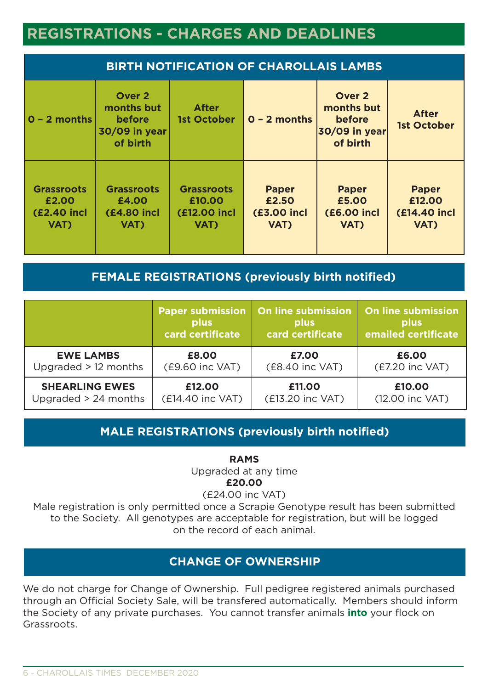# **REGISTRATIONS - CHARGES AND DEADLINES**

| <b>BIRTH NOTIFICATION OF CHAROLLAIS LAMBS</b>            |                                                             |                                                            |                                                     |                                                             |                                                       |  |
|----------------------------------------------------------|-------------------------------------------------------------|------------------------------------------------------------|-----------------------------------------------------|-------------------------------------------------------------|-------------------------------------------------------|--|
| $0 - 2$ months                                           | Over 2<br>months but<br>before<br>30/09 in year<br>of birth | <b>After</b><br><b>1st October</b>                         | $0 - 2$ months                                      | Over 2<br>months but<br>before<br>30/09 in year<br>of birth | <b>After</b><br><b>1st October</b>                    |  |
| <b>Grassroots</b><br>£2.00<br><b>(£2.40 incl</b><br>VAT) | <b>Grassroots</b><br>£4.00<br><b>(£4.80 incl</b><br>VAT)    | <b>Grassroots</b><br>£10.00<br><b>(£12.00 incl</b><br>VAT) | <b>Paper</b><br>£2.50<br><b>(£3.00 incl</b><br>VAT) | <b>Paper</b><br>£5.00<br><b>(£6.00 incl</b><br>VAT)         | <b>Paper</b><br>£12.00<br><b>(£14.40 incl</b><br>VAT) |  |

### **FEMALE REGISTRATIONS (previously birth notified)**

|                        | <b>Paper submission</b> | <b>On line submission</b> | <b>On line submission</b> |
|------------------------|-------------------------|---------------------------|---------------------------|
|                        | plus                    | plus                      | plus                      |
|                        | card certificate        | card certificate          | emailed certificate       |
| <b>EWE LAMBS</b>       | £8.00                   | £7.00                     | £6.00                     |
| Upgraded $> 12$ months | (£9.60 inc VAT)         | (£8.40 inc VAT)           | (£7.20 inc VAT)           |
| <b>SHEARLING EWES</b>  | £12.00                  | £11.00                    | £10.00                    |
| Upgraded > 24 months   | (£14.40 inc VAT)        | (£13.20 inc VAT)          | (12.00 inc VAT)           |

### **MALE REGISTRATIONS (previously birth notified)**

**RAMS**

Upgraded at any time **£20.00**

(£24.00 inc VAT)

Male registration is only permitted once a Scrapie Genotype result has been submitted to the Society. All genotypes are acceptable for registration, but will be logged on the record of each animal.

### **CHANGE OF OWNERSHIP**

We do not charge for Change of Ownership. Full pedigree registered animals purchased through an Official Society Sale, will be transfered automatically. Members should inform the Society of any private purchases. You cannot transfer animals **into** your flock on Grassroots.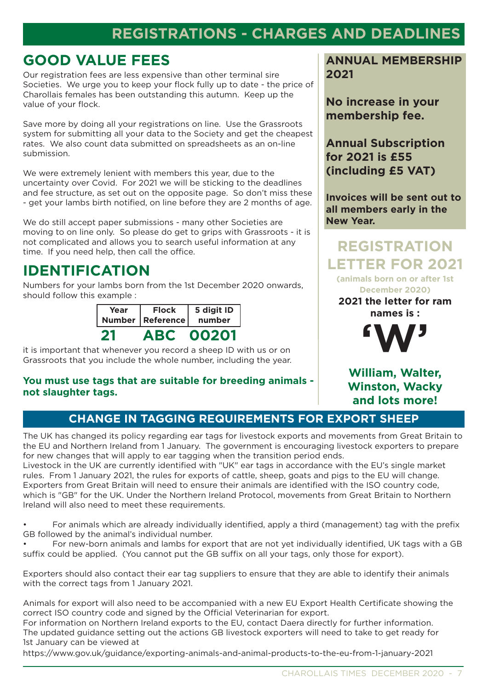# **REGISTRATIONS - CHARGES AND DEADLINES**

## **GOOD VALUE FEES**

Our registration fees are less expensive than other terminal sire Societies. We urge you to keep your flock fully up to date - the price of Charollais females has been outstanding this autumn. Keep up the value of your flock.

Save more by doing all your registrations on line. Use the Grassroots system for submitting all your data to the Society and get the cheapest rates. We also count data submitted on spreadsheets as an on-line submission.

We were extremely lenient with members this year, due to the uncertainty over Covid. For 2021 we will be sticking to the deadlines and fee structure, as set out on the opposite page. So don't miss these - get your lambs birth notified, on line before they are 2 months of age.

We do still accept paper submissions - many other Societies are moving to on line only. So please do get to grips with Grassroots - it is not complicated and allows you to search useful information at any time. If you need help, then call the office. **REGISTRATION**

# **IDENTIFICATION**

Numbers for your lambs born from the 1st December 2020 onwards, should follow this example :

| Year | <b>Flock</b><br>Number   Reference | 5 digit ID<br>number |  |
|------|------------------------------------|----------------------|--|
|      | ABL                                | 00201                |  |

it is important that whenever you record a sheep ID with us or on Grassroots that you include the whole number, including the year.

### **You must use tags that are suitable for breeding animals not slaughter tags.**

**ANNUAL MEMBERSHIP 2021**

**No increase in your membership fee.**

**Annual Subscription for 2021 is £55 (including £5 VAT)**

**Invoices will be sent out to all members early in the New Year.**

# **LETTER FOR 2021**

**(animals born on or after 1st December 2020)**

**2021 the letter for ram names is :**



**William, Walter, Winston, Wacky and lots more!**

### **CHANGE IN TAGGING REQUIREMENTS FOR EXPORT SHEEP**

The UK has changed its policy regarding ear tags for livestock exports and movements from Great Britain to the EU and Northern Ireland from 1 January. The government is encouraging livestock exporters to prepare for new changes that will apply to ear tagging when the transition period ends.

Livestock in the UK are currently identified with "UK" ear tags in accordance with the EU's single market rules. From 1 January 2021, the rules for exports of cattle, sheep, goats and pigs to the EU will change. Exporters from Great Britain will need to ensure their animals are identified with the ISO country code, which is "GB" for the UK. Under the Northern Ireland Protocol, movements from Great Britain to Northern Ireland will also need to meet these requirements.

• For animals which are already individually identified, apply a third (management) tag with the prefix GB followed by the animal's individual number.

• For new-born animals and lambs for export that are not yet individually identified, UK tags with a GB suffix could be applied. (You cannot put the GB suffix on all your tags, only those for export).

Exporters should also contact their ear tag suppliers to ensure that they are able to identify their animals with the correct tags from 1 January 2021.

Animals for export will also need to be accompanied with a new EU Export Health Certificate showing the correct ISO country code and signed by the Official Veterinarian for export.

For information on Northern Ireland exports to the EU, contact Daera directly for further information. The updated guidance setting out the actions GB livestock exporters will need to take to get ready for 1st January can be viewed at

https://www.gov.uk/guidance/exporting-animals-and-animal-products-to-the-eu-from-1-january-2021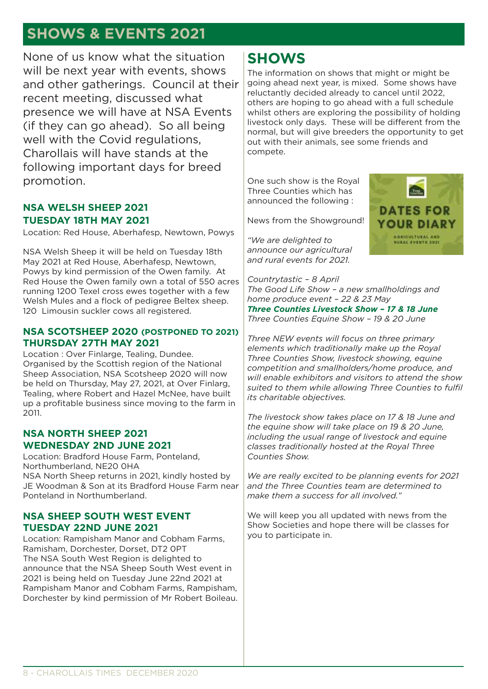# **SHOWS & EVENTS 2021**

None of us know what the situation will be next year with events, shows and other gatherings. Council at their recent meeting, discussed what presence we will have at NSA Events (if they can go ahead). So all being well with the Covid requilations. Charollais will have stands at the following important days for breed promotion.

### **NSA WELSH SHEEP 2021 TUESDAY 18TH MAY 2021**

Location: Red House, Aberhafesp, Newtown, Powys

NSA Welsh Sheep it will be held on Tuesday 18th May 2021 at Red House, Aberhafesp, Newtown, Powys by kind permission of the Owen family. At Red House the Owen family own a total of 550 acres running 1200 Texel cross ewes together with a few Welsh Mules and a flock of pedigree Beltex sheep. 120 Limousin suckler cows all registered.

### **NSA SCOTSHEEP 2020 (POSTPONED TO 2021) THURSDAY 27TH MAY 2021**

Location : Over Finlarge, Tealing, Dundee. Organised by the Scottish region of the National Sheep Association, NSA Scotsheep 2020 will now be held on Thursday, May 27, 2021, at Over Finlarg, Tealing, where Robert and Hazel McNee, have built up a profitable business since moving to the farm in 2011.

### **NSA NORTH SHEEP 2021 WEDNESDAY 2ND JUNE 2021**

Location: Bradford House Farm, Ponteland, Northumberland, NE20 0HA NSA North Sheep returns in 2021, kindly hosted by JE Woodman & Son at its Bradford House Farm near Ponteland in Northumberland.

### **NSA SHEEP SOUTH WEST EVENT TUESDAY 22ND JUNE 2021**

Location: Rampisham Manor and Cobham Farms, Ramisham, Dorchester, Dorset, DT2 0PT The NSA South West Region is delighted to announce that the NSA Sheep South West event in 2021 is being held on Tuesday June 22nd 2021 at Rampisham Manor and Cobham Farms, Rampisham, Dorchester by kind permission of Mr Robert Boileau.

### **SHOWS**

The information on shows that might or might be going ahead next year, is mixed. Some shows have reluctantly decided already to cancel until 2022, others are hoping to go ahead with a full schedule whilst others are exploring the possibility of holding livestock only days. These will be different from the normal, but will give breeders the opportunity to get out with their animals, see some friends and compete.

One such show is the Royal Three Counties which has announced the following :

News from the Showground!

*"We are delighted to announce our agricultural and rural events for 2021.*



*Countrytastic – 8 April The Good Life Show – a new smallholdings and home produce event – 22 & 23 May Three Counties Livestock Show – 17 & 18 June Three Counties Equine Show – 19 & 20 June*

*Three NEW events will focus on three primary elements which traditionally make up the Royal Three Counties Show, livestock showing, equine competition and smallholders/home produce, and will enable exhibitors and visitors to attend the show suited to them while allowing Three Counties to fulfil its charitable objectives.*

*The livestock show takes place on 17 & 18 June and the equine show will take place on 19 & 20 June, including the usual range of livestock and equine classes traditionally hosted at the Royal Three Counties Show.* 

*We are really excited to be planning events for 2021 and the Three Counties team are determined to make them a success for all involved."*

We will keep you all updated with news from the Show Societies and hope there will be classes for you to participate in.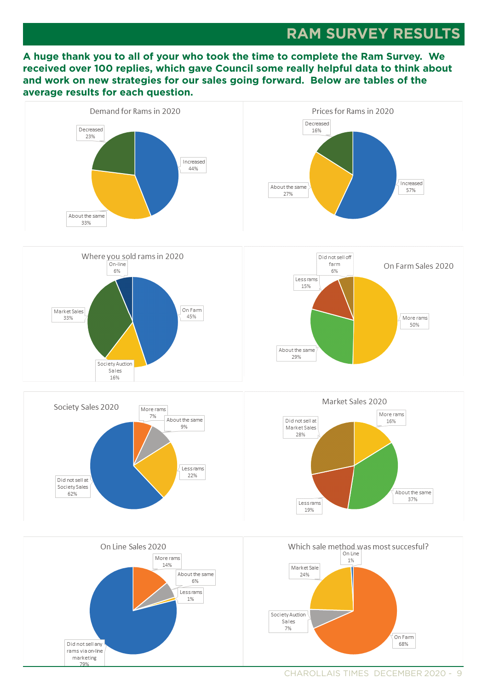### **RAM SURVEY RESULTS**

**A huge thank you to all of your who took the time to complete the Ram Survey. We received over 100 replies, which gave Council some really helpful data to think about and work on new strategies for our sales going forward. Below are tables of the average results for each question.** 

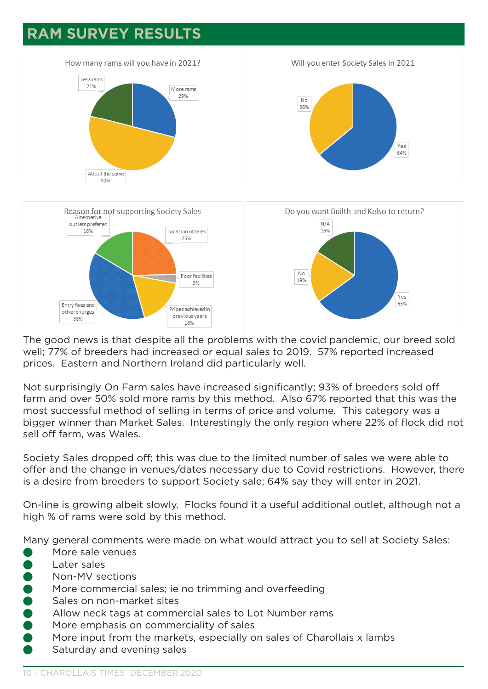# **RAM SURVEY RESULTS**



The good news is that despite all the problems with the covid pandemic, our breed sold well; 77% of breeders had increased or equal sales to 2019. 57% reported increased prices. Eastern and Northern Ireland did particularly well.

Not surprisingly On Farm sales have increased significantly; 93% of breeders sold off farm and over 50% sold more rams by this method. Also 67% reported that this was the most successful method of selling in terms of price and volume. This category was a bigger winner than Market Sales. Interestingly the only region where 22% of flock did not sell off farm, was Wales.

Society Sales dropped off; this was due to the limited number of sales we were able to offer and the change in venues/dates necessary due to Covid restrictions. However, there is a desire from breeders to support Society sale; 64% say they will enter in 2021.

On-line is growing albeit slowly. Flocks found it a useful additional outlet, although not a high % of rams were sold by this method.

Many general comments were made on what would attract you to sell at Society Sales:

- More sale venues
- Later sales
- Non-MV sections
- More commercial sales; ie no trimming and overfeeding
- Sales on non-market sites
- Allow neck tags at commercial sales to Lot Number rams
- More emphasis on commerciality of sales
- More input from the markets, especially on sales of Charollais x lambs
- Saturday and evening sales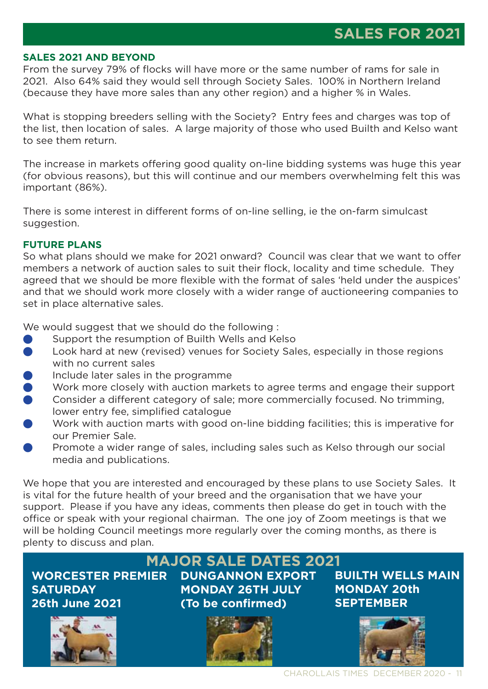### **SALES 2021 AND BEYOND**

From the survey 79% of flocks will have more or the same number of rams for sale in 2021. Also 64% said they would sell through Society Sales. 100% in Northern Ireland (because they have more sales than any other region) and a higher % in Wales.

What is stopping breeders selling with the Society? Entry fees and charges was top of the list, then location of sales. A large majority of those who used Builth and Kelso want to see them return.

The increase in markets offering good quality on-line bidding systems was huge this year (for obvious reasons), but this will continue and our members overwhelming felt this was important (86%).

There is some interest in different forms of on-line selling, ie the on-farm simulcast suggestion.

### **FUTURE PLANS**

So what plans should we make for 2021 onward? Council was clear that we want to offer members a network of auction sales to suit their flock, locality and time schedule. They agreed that we should be more flexible with the format of sales 'held under the auspices' and that we should work more closely with a wider range of auctioneering companies to set in place alternative sales.

We would suggest that we should do the following :

- Support the resumption of Builth Wells and Kelso
- Look hard at new (revised) venues for Society Sales, especially in those regions with no current sales
- Include later sales in the programme
- Work more closely with auction markets to agree terms and engage their support
- Consider a different category of sale; more commercially focused. No trimming, lower entry fee, simplified catalogue
- Work with auction marts with good on-line bidding facilities; this is imperative for our Premier Sale.
- Promote a wider range of sales, including sales such as Kelso through our social media and publications.

We hope that you are interested and encouraged by these plans to use Society Sales. It is vital for the future health of your breed and the organisation that we have your support. Please if you have any ideas, comments then please do get in touch with the office or speak with your regional chairman. The one joy of Zoom meetings is that we will be holding Council meetings more regularly over the coming months, as there is plenty to discuss and plan.

**WORCESTER PREMIER SATURDAY 26th June 2021**



### **MAJOR SALE DATES 2021**

**DUNGANNON EXPORT MONDAY 26TH JULY (To be confirmed)** 



### **BUILTH WELLS MAIN MONDAY 20th SEPTEMBER**

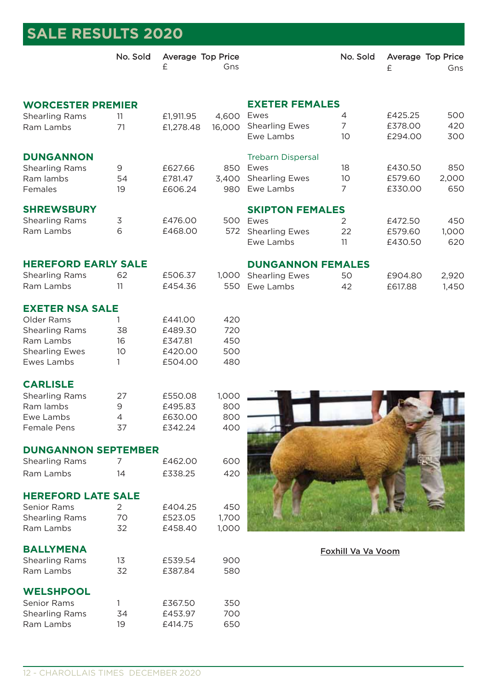| <b>SALE RESULTS 2020</b>   |                 |                        |        |                          |                    |                        |       |
|----------------------------|-----------------|------------------------|--------|--------------------------|--------------------|------------------------|-------|
|                            | No. Sold        | Average Top Price<br>£ | Gns    |                          | No. Sold           | Average Top Price<br>£ | Gns   |
| <b>WORCESTER PREMIER</b>   |                 |                        |        | <b>EXETER FEMALES</b>    |                    |                        |       |
| <b>Shearling Rams</b>      | 11              | £1,911.95              | 4,600  | Ewes                     | 4                  | £425.25                | 500   |
| Ram Lambs                  | 71              | £1,278.48              | 16,000 | <b>Shearling Ewes</b>    | 7                  | £378.00                | 420   |
|                            |                 |                        |        | Ewe Lambs                | 10                 | £294.00                | 300   |
| <b>DUNGANNON</b>           |                 |                        |        | <b>Trebarn Dispersal</b> |                    |                        |       |
| <b>Shearling Rams</b>      | 9               | £627.66                | 850    | Ewes                     | 18                 | £430.50                | 850   |
| Ram lambs                  | 54              | £781.47                |        | 3,400 Shearling Ewes     | 10                 | £579.60                | 2,000 |
| Females                    | 19              | £606.24                | 980    | Ewe Lambs                | 7                  | £330.00                | 650   |
| <b>SHREWSBURY</b>          |                 |                        |        | <b>SKIPTON FEMALES</b>   |                    |                        |       |
| <b>Shearling Rams</b>      | 3               | £476.00                |        | 500 Ewes                 | 2                  | £472.50                | 450   |
| Ram Lambs                  | 6               | £468.00                | 572    | <b>Shearling Ewes</b>    | 22                 | £579.60                | 1,000 |
|                            |                 |                        |        | Ewe Lambs                | 11                 | £430.50                | 620   |
| <b>HEREFORD EARLY SALE</b> |                 |                        |        | <b>DUNGANNON FEMALES</b> |                    |                        |       |
| <b>Shearling Rams</b>      | 62              | £506.37                | 1,000  | <b>Shearling Ewes</b>    | 50                 | £904.80                | 2,920 |
| Ram Lambs                  | 11              | £454.36                |        | 550 Ewe Lambs            | 42                 | £617.88                | 1,450 |
| <b>EXETER NSA SALE</b>     |                 |                        |        |                          |                    |                        |       |
| Older Rams                 |                 | £441.00                | 420    |                          |                    |                        |       |
| <b>Shearling Rams</b>      | 38              | £489.30                | 720    |                          |                    |                        |       |
| Ram Lambs                  | 16              | £347.81                | 450    |                          |                    |                        |       |
| <b>Shearling Ewes</b>      | 10 <sup>°</sup> | £420.00                | 500    |                          |                    |                        |       |
| Ewes Lambs                 | 1               | £504.00                | 480    |                          |                    |                        |       |
| <b>CARLISLE</b>            |                 |                        |        |                          |                    |                        |       |
| <b>Shearling Rams</b>      | 27              | £550.08                | 1,000  |                          |                    |                        |       |
| Ram lambs                  | 9               | £495.83                | 800    |                          |                    |                        |       |
| Ewe Lambs                  | 4               | £630.00                | 800    |                          |                    |                        |       |
| <b>Female Pens</b>         | 37              | £342.24                | 400    |                          |                    |                        |       |
| <b>DUNGANNON SEPTEMBER</b> |                 |                        |        |                          |                    |                        |       |
| <b>Shearling Rams</b>      | 7               | £462.00                | 600    |                          |                    |                        |       |
| Ram Lambs                  | 14              | £338.25                | 420    |                          |                    |                        |       |
| <b>HEREFORD LATE SALE</b>  |                 |                        |        |                          |                    |                        |       |
| <b>Senior Rams</b>         | $\overline{2}$  | £404.25                | 450    |                          |                    |                        |       |
| <b>Shearling Rams</b>      | 70              | £523.05                | 1,700  |                          |                    |                        |       |
| Ram Lambs                  | 32              | £458.40                | 1,000  |                          |                    |                        |       |
| <b>BALLYMENA</b>           |                 |                        |        |                          | Foxhill Va Va Voom |                        |       |
| <b>Shearling Rams</b>      | 13              | £539.54                | 900    |                          |                    |                        |       |
| Ram Lambs                  | 32              | £387.84                | 580    |                          |                    |                        |       |
| <b>WELSHPOOL</b>           |                 |                        |        |                          |                    |                        |       |
| Senior Rams                | 1               | £367.50                | 350    |                          |                    |                        |       |
| <b>Shearling Rams</b>      | 34              | £453.97                | 700    |                          |                    |                        |       |
| Ram Lambs                  | 19              | £414.75                | 650    |                          |                    |                        |       |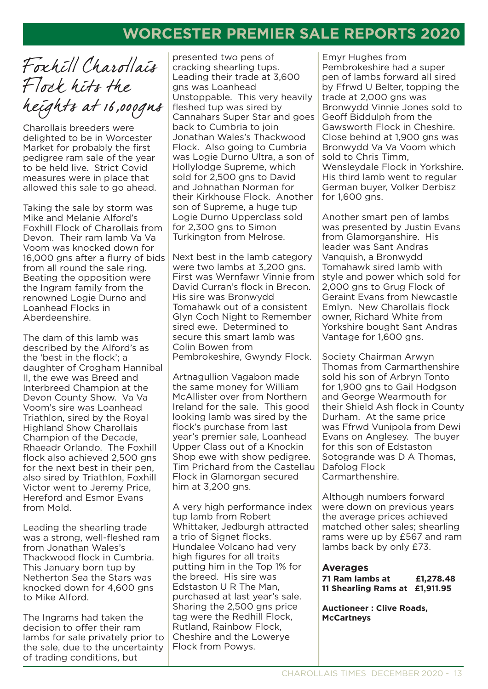# **HEADING WORCESTER PREMIER SALE REPORTS 2020**

Foxhill Charollais Flock hits the heights at 16,000gns

Charollais breeders were delighted to be in Worcester Market for probably the first pedigree ram sale of the year to be held live. Strict Covid measures were in place that allowed this sale to go ahead.

Taking the sale by storm was Mike and Melanie Alford's Foxhill Flock of Charollais from Devon. Their ram lamb Va Va Voom was knocked down for 16,000 gns after a flurry of bids from all round the sale ring. Beating the opposition were the Ingram family from the renowned Logie Durno and Loanhead Flocks in Aberdeenshire.

The dam of this lamb was described by the Alford's as the 'best in the flock'; a daughter of Crogham Hannibal II, the ewe was Breed and Interbreed Champion at the Devon County Show. Va Va Voom's sire was Loanhead Triathlon, sired by the Royal Highland Show Charollais Champion of the Decade, Rhaeadr Orlando. The Foxhill flock also achieved 2,500 gns for the next best in their pen, also sired by Triathlon, Foxhill Victor went to Jeremy Price, Hereford and Esmor Evans from Mold.

Leading the shearling trade was a strong, well-fleshed ram from Jonathan Wales's Thackwood flock in Cumbria. This January born tup by Netherton Sea the Stars was knocked down for 4,600 gns to Mike Alford.

The Ingrams had taken the decision to offer their ram lambs for sale privately prior to the sale, due to the uncertainty of trading conditions, but

presented two pens of cracking shearling tups. Leading their trade at 3,600 gns was Loanhead Unstoppable. This very heavily fleshed tup was sired by Cannahars Super Star and goes back to Cumbria to join Jonathan Wales's Thackwood Flock. Also going to Cumbria was Logie Durno Ultra, a son of Hollylodge Supreme, which sold for 2,500 gns to David and Johnathan Norman for their Kirkhouse Flock. Another son of Supreme, a huge tup Logie Durno Upperclass sold for 2,300 gns to Simon Turkington from Melrose.

Next best in the lamb category were two lambs at 3.200 gns. First was Wernfawr Vinnie from David Curran's flock in Brecon. His sire was Bronwydd Tomahawk out of a consistent Glyn Coch Night to Remember sired ewe. Determined to secure this smart lamb was Colin Bowen from Pembrokeshire, Gwyndy Flock.

Artnagullion Vagabon made the same money for William McAllister over from Northern Ireland for the sale. This good looking lamb was sired by the flock's purchase from last year's premier sale, Loanhead Upper Class out of a Knockin Shop ewe with show pedigree. Tim Prichard from the Castellau Flock in Glamorgan secured him at 3,200 gns.

A very high performance index tup lamb from Robert Whittaker, Jedburgh attracted a trio of Signet flocks. Hundalee Volcano had very high figures for all traits putting him in the Top 1% for the breed. His sire was Edstaston U R The Man, purchased at last year's sale. Sharing the 2,500 gns price tag were the Redhill Flock, Rutland, Rainbow Flock, Cheshire and the Lowerye Flock from Powys.

Emyr Hughes from Pembrokeshire had a super pen of lambs forward all sired by Ffrwd U Belter, topping the trade at 2,000 gns was Bronwydd Vinnie Jones sold to Geoff Biddulph from the Gawsworth Flock in Cheshire. Close behind at 1,900 gns was Bronwydd Va Va Voom which sold to Chris Timm, Wensleydale Flock in Yorkshire. His third lamb went to regular German buyer, Volker Derbisz for 1,600 gns.

Another smart pen of lambs was presented by Justin Evans from Glamorganshire. His leader was Sant Andras Vanquish, a Bronwydd Tomahawk sired lamb with style and power which sold for 2,000 gns to Grug Flock of Geraint Evans from Newcastle Emlyn. New Charollais flock owner, Richard White from Yorkshire bought Sant Andras Vantage for 1,600 gns.

Society Chairman Arwyn Thomas from Carmarthenshire sold his son of Arbryn Tonto for 1,900 gns to Gail Hodgson and George Wearmouth for their Shield Ash flock in County Durham. At the same price was Ffrwd Vunipola from Dewi Evans on Anglesey. The buyer for this son of Edstaston Sotogrande was D A Thomas, Dafolog Flock Carmarthenshire.

Although numbers forward were down on previous years the average prices achieved matched other sales; shearling rams were up by £567 and ram lambs back by only £73.

#### **Averages**

**71 Ram lambs at £1,278.48 11 Shearling Rams at £1,911.95** 

**Auctioneer : Clive Roads, McCartneys**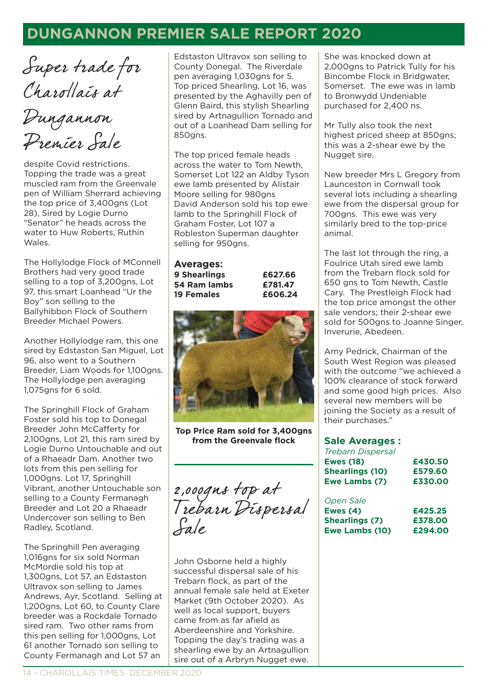## **HEADING DUNGANNON PREMIER SALE REPORT 2020**

Super trade for Charollais at

Dungannon Premier Sale

despite Covid restrictions. Topping the trade was a great muscled ram from the Greenvale pen of William Sherrard achieving the top price of 3,400gns (Lot 28), Sired by Logie Durno "Senator" he heads across the water to Huw Roberts, Ruthin Wales.

The Hollylodge Flock of MConnell Brothers had very good trade selling to a top of 3,200gns, Lot 97, this smart Loanhead "Ur the Boy" son selling to the Ballyhibbon Flock of Southern Breeder Michael Powers.

Another Hollylodge ram, this one sired by Edstaston San Miguel, Lot 96, also went to a Southern Breeder, Liam Woods for 1,100gns. The Hollylodge pen averaging 1,075gns for 6 sold.

The Springhill Flock of Graham Foster sold his top to Donegal Breeder John McCafferty for 2,100gns, Lot 21, this ram sired by Logie Durno Untouchable and out of a Rhaeadr Dam. Another two lots from this pen selling for 1,000gns. Lot 17, Springhill Vibrant, another Untouchable son selling to a County Fermanagh Breeder and Lot 20 a Rhaeadr Undercover son selling to Ben Radley, Scotland.

The Springhill Pen averaging 1,016gns for six sold Norman McMordie sold his top at 1,300gns, Lot 57, an Edstaston Ultravox son selling to James Andrews, Ayr, Scotland. Selling at 1,200gns, Lot 60, to County Clare breeder was a Rockdale Tornado sired ram. Two other rams from this pen selling for 1,000gns, Lot 61 another Tornado son selling to County Fermanagh and Lot 57 an

Edstaston Ultravox son selling to County Donegal. The Riverdale pen averaging 1,030gns for 5. Top priced Shearling, Lot 16, was presented by the Aghavilly pen of Glenn Baird, this stylish Shearling sired by Artnagullion Tornado and out of a Loanhead Dam selling for 850gns.

The top priced female heads across the water to Tom Newth, Somerset Lot 122 an Aldby Tyson ewe lamb presented by Alistair Moore selling for 980gns David Anderson sold his top ewe lamb to the Springhill Flock of Graham Foster, Lot 107 a Robleston Superman daughter selling for 950gns.

#### **Averages:**

**9 Shearlings £627.66 54 Ram lambs £781.47 19 Females £606.24**



**Top Price Ram sold for 3,400gns from the Greenvale flock**

2,000gns top at Trebarn Dispersal Sale

John Osborne held a highly successful dispersal sale of his Trebarn flock, as part of the annual female sale held at Exeter Market (9th October 2020). As well as local support, buyers came from as far afield as Aberdeenshire and Yorkshire. Topping the day's trading was a shearling ewe by an Artnagullion sire out of a Arbryn Nugget ewe.

She was knocked down at 2,000gns to Patrick Tully for his Bincombe Flock in Bridgwater, Somerset. The ewe was in lamb to Bronwydd Undeniable purchased for 2,400 ns.

Mr Tully also took the next highest priced sheep at 850gns; this was a 2-shear ewe by the Nugget sire.

New breeder Mrs L Gregory from Launceston in Cornwall took several lots including a shearling ewe from the dispersal group for 700gns. This ewe was very similarly bred to the top-price animal.

The last lot through the ring, a Foulrice Utah sired ewe lamb from the Trebarn flock sold for 650 gns to Tom Newth, Castle Cary. The Prestleigh Flock had the top price amongst the other sale vendors; their 2-shear ewe sold for 500gns to Joanne Singer, Inverurie, Abedeen.

Amy Pedrick, Chairman of the South West Region was pleased with the outcome "we achieved a 100% clearance of stock forward and some good high prices. Also several new members will be joining the Society as a result of their purchases."

#### **Sale Averages :**

| <b>Trebarn Dispersal</b> |         |
|--------------------------|---------|
| <b>Ewes (18)</b>         | £430.50 |
| <b>Shearlings (10)</b>   | £579.60 |
| Ewe Lambs (7)            | £330.00 |
| Open Sale                |         |
| Ewes (4)                 | £425.25 |
| Andreas and the company  |         |

| Ewes $(4)$            | £425.25 |
|-----------------------|---------|
| <b>Shearlings (7)</b> | £378.00 |
| Ewe Lambs (10)        | £294.00 |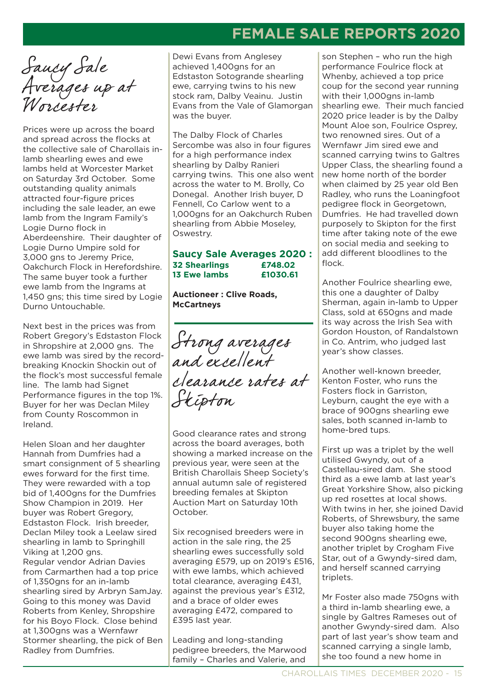# **FEMALE SALE REPORTS 2020**

Saucy Sale Averages up at Worcester

Prices were up across the board and spread across the flocks at the collective sale of Charollais inlamb shearling ewes and ewe lambs held at Worcester Market on Saturday 3rd October. Some outstanding quality animals attracted four-figure prices including the sale leader, an ewe lamb from the Ingram Family's Logie Durno flock in Aberdeenshire. Their daughter of Logie Durno Umpire sold for 3,000 gns to Jeremy Price, Oakchurch Flock in Herefordshire. The same buyer took a further ewe lamb from the Ingrams at 1,450 gns; this time sired by Logie Durno Untouchable.

Next best in the prices was from Robert Gregory's Edstaston Flock in Shropshire at 2,000 gns. The ewe lamb was sired by the recordbreaking Knockin Shockin out of the flock's most successful female line. The lamb had Signet Performance figures in the top 1%. Buyer for her was Declan Miley from County Roscommon in Ireland.

Helen Sloan and her daughter Hannah from Dumfries had a smart consignment of 5 shearling ewes forward for the first time. They were rewarded with a top bid of 1,400gns for the Dumfries Show Champion in 2019. Her buyer was Robert Gregory, Edstaston Flock. Irish breeder, Declan Miley took a Leelaw sired shearling in lamb to Springhill Viking at 1,200 gns. Regular vendor Adrian Davies from Carmarthen had a top price of 1,350gns for an in-lamb shearling sired by Arbryn SamJay. Going to this money was David Roberts from Kenley, Shropshire for his Boyo Flock. Close behind at 1,300gns was a Wernfawr Stormer shearling, the pick of Ben Radley from Dumfries.

Dewi Evans from Anglesey achieved 1,400gns for an Edstaston Sotogrande shearling ewe, carrying twins to his new stock ram, Dalby Veainu. Justin Evans from the Vale of Glamorgan was the buyer.

The Dalby Flock of Charles Sercombe was also in four figures for a high performance index shearling by Dalby Ranieri carrying twins. This one also went across the water to M. Brolly, Co Donegal. Another Irish buyer, D Fennell, Co Carlow went to a 1,000gns for an Oakchurch Ruben shearling from Abbie Moseley, Oswestry.

#### **Saucy Sale Averages 2020 : 32 Shearlings £748.02 13 Ewe lambs £1030.61**

**Auctioneer : Clive Roads, McCartneys**

Strong averages and excellent clearance rates at Skipton

Good clearance rates and strong across the board averages, both showing a marked increase on the previous year, were seen at the British Charollais Sheep Society's annual autumn sale of registered breeding females at Skipton Auction Mart on Saturday 10th October.

Six recognised breeders were in action in the sale ring, the 25 shearling ewes successfully sold averaging £579, up on 2019's £516, with ewe lambs, which achieved total clearance, averaging £431, against the previous year's £312, and a brace of older ewes averaging £472, compared to £395 last year.

Leading and long-standing pedigree breeders, the Marwood family – Charles and Valerie, and

son Stephen – who run the high performance Foulrice flock at Whenby, achieved a top price coup for the second year running with their 1,000gns in-lamb shearling ewe. Their much fancied 2020 price leader is by the Dalby Mount Aloe son, Foulrice Osprey, two renowned sires. Out of a Wernfawr Jim sired ewe and scanned carrying twins to Galtres Upper Class, the shearling found a new home north of the border when claimed by 25 year old Ben Radley, who runs the Loaningfoot pedigree flock in Georgetown, Dumfries. He had travelled down purposely to Skipton for the first time after taking note of the ewe on social media and seeking to add different bloodlines to the flock.

Another Foulrice shearling ewe, this one a daughter of Dalby Sherman, again in-lamb to Upper Class, sold at 650gns and made its way across the Irish Sea with Gordon Houston, of Randalstown in Co. Antrim, who judged last year's show classes.

Another well-known breeder, Kenton Foster, who runs the Fosters flock in Garriston, Leyburn, caught the eye with a brace of 900gns shearling ewe sales, both scanned in-lamb to home-bred tups.

First up was a triplet by the well utilised Gwyndy, out of a Castellau-sired dam. She stood third as a ewe lamb at last year's Great Yorkshire Show, also picking up red rosettes at local shows. With twins in her, she joined David Roberts, of Shrewsbury, the same buyer also taking home the second 900gns shearling ewe, another triplet by Crogham Five Star, out of a Gwyndy-sired dam, and herself scanned carrying triplets.

Mr Foster also made 750gns with a third in-lamb shearling ewe, a single by Galtres Rameses out of another Gwyndy-sired dam. Also part of last year's show team and scanned carrying a single lamb, she too found a new home in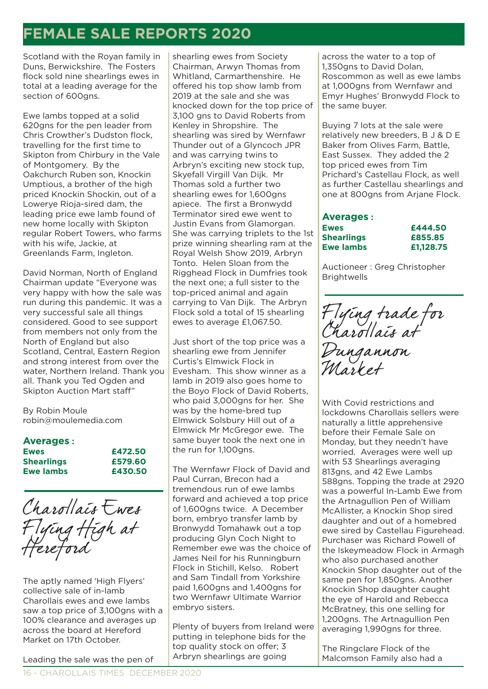# **FEMALE SALE REPORTS 2020**

Scotland with the Royan family in Duns, Berwickshire. The Fosters flock sold nine shearlings ewes in total at a leading average for the section of 600gns.

Ewe lambs topped at a solid 620gns for the pen leader from Chris Crowther's Dudston flock, travelling for the first time to Skipton from Chirbury in the Vale of Montgomery. By the Oakchurch Ruben son, Knockin Umptious, a brother of the high priced Knockin Shockin, out of a Lowerye Rioja-sired dam, the leading price ewe lamb found of new home locally with Skipton regular Robert Towers, who farms with his wife, Jackie, at Greenlands Farm, Ingleton.

David Norman, North of England Chairman update "Everyone was very happy with how the sale was run during this pandemic. It was a very successful sale all things considered. Good to see support from members not only from the North of England but also Scotland, Central, Eastern Region and strong interest from over the water, Northern Ireland. Thank you all. Thank you Ted Ogden and Skipton Auction Mart staff"

By Robin Moule robin@moulemedia.com

### **Averages :**

| <b>Ewes</b>       | £472.50 |
|-------------------|---------|
| <b>Shearlings</b> | £579.60 |
| Ewe lambs         | £430.50 |



The aptly named 'High Flyers' collective sale of in-lamb Charollais ewes and ewe lambs saw a top price of 3,100gns with a 100% clearance and averages up across the board at Hereford Market on 17th October.

shearling ewes from Society Chairman, Arwyn Thomas from Whitland, Carmarthenshire. He offered his top show lamb from 2019 at the sale and she was knocked down for the top price of 3,100 gns to David Roberts from Kenley in Shropshire. The shearling was sired by Wernfawr Thunder out of a Glyncoch JPR and was carrying twins to Arbryn's exciting new stock tup, Skyefall Virgill Van Dijk. Mr Thomas sold a further two shearling ewes for 1,600gns apiece. The first a Bronwydd Terminator sired ewe went to Justin Evans from Glamorgan. She was carrying triplets to the 1st prize winning shearling ram at the Royal Welsh Show 2019, Arbryn Tonto. Helen Sloan from the Rigghead Flock in Dumfries took the next one; a full sister to the top-priced animal and again carrying to Van Dijk. The Arbryn Flock sold a total of 15 shearling ewes to average £1,067.50.

Just short of the top price was a shearling ewe from Jennifer Curtis's Elmwick Flock in Evesham. This show winner as a lamb in 2019 also goes home to the Boyo Flock of David Roberts, who paid 3,000gns for her. She was by the home-bred tup Elmwick Solsbury Hill out of a Elmwick Mr McGregor ewe. The same buyer took the next one in the run for 1,100gns.

The Wernfawr Flock of David and Paul Curran, Brecon had a tremendous run of ewe lambs forward and achieved a top price of 1,600gns twice. A December born, embryo transfer lamb by Bronwydd Tomahawk out a top producing Glyn Coch Night to Remember ewe was the choice of James Neil for his Runningburn Flock in Stichill, Kelso. Robert and Sam Tindall from Yorkshire paid 1,600gns and 1,400gns for two Wernfawr Ultimate Warrior embryo sisters.

Plenty of buyers from Ireland were putting in telephone bids for the top quality stock on offer; 3 Arbryn shearlings are going

across the water to a top of 1,350gns to David Dolan, Roscommon as well as ewe lambs at 1,000gns from Wernfawr and Emyr Hughes' Bronwydd Flock to the same buyer.

Buying 7 lots at the sale were relatively new breeders, B J & D E Baker from Olives Farm, Battle, East Sussex. They added the 2 top priced ewes from Tim Prichard's Castellau Flock, as well as further Castellau shearlings and one at 800gns from Arjane Flock.

#### **Averages : Ewes £444.50 Shearlings £855.85 Ewe lambs £1,128.75**

Auctioneer : Greg Christopher Brightwells

Flying trade for Charollais at

Dungannon Market

With Covid restrictions and lockdowns Charollais sellers were naturally a little apprehensive before their Female Sale on Monday, but they needn't have worried. Averages were well up with 53 Shearlings averaging 813gns, and 42 Ewe Lambs 588gns. Topping the trade at 2920 was a powerful In-Lamb Ewe from the Artnagullion Pen of William McAllister, a Knockin Shop sired daughter and out of a homebred ewe sired by Castellau Figurehead. Purchaser was Richard Powell of the Iskeymeadow Flock in Armagh who also purchased another Knockin Shop daughter out of the same pen for 1,850gns. Another Knockin Shop daughter caught the eye of Harold and Rebecca McBratney, this one selling for 1,200gns. The Artnagullion Pen averaging 1,990gns for three.

The Ringclare Flock of the Malcomson Family also had a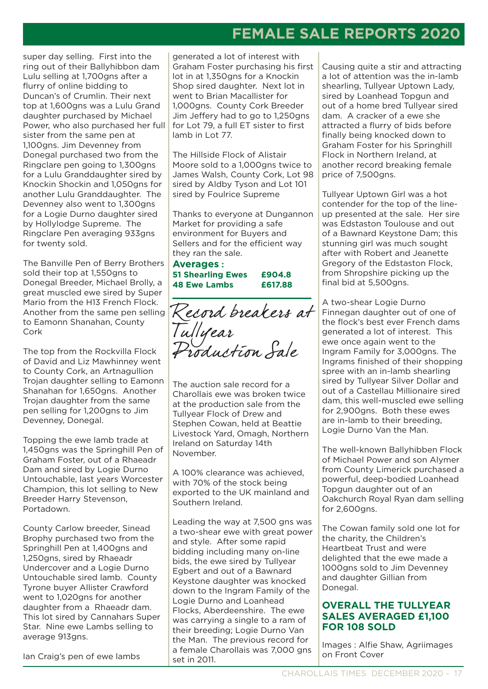# **FEMALE SALE REPORTS 2020**

super day selling. First into the ring out of their Ballyhibbon dam Lulu selling at 1,700gns after a flurry of online bidding to Duncan's of Crumlin. Their next top at 1,600gns was a Lulu Grand daughter purchased by Michael Power, who also purchased her full sister from the same pen at 1,100gns. Jim Devenney from Donegal purchased two from the Ringclare pen going to 1,300gns for a Lulu Granddaughter sired by Knockin Shockin and 1,050gns for another Lulu Granddaughter. The Devenney also went to 1,300gns for a Logie Durno daughter sired by Hollylodge Supreme. The Ringclare Pen averaging 933gns for twenty sold.

The Banville Pen of Berry Brothers sold their top at 1,550gns to Donegal Breeder, Michael Brolly, a great muscled ewe sired by Super Mario from the H13 French Flock. Another from the same pen selling to Eamonn Shanahan, County Cork

The top from the Rockvilla Flock of David and Liz Mawhinney went to County Cork, an Artnagullion Trojan daughter selling to Eamonn Shanahan for 1,650ans. Another Trojan daughter from the same pen selling for 1,200gns to Jim Devenney, Donegal.

Topping the ewe lamb trade at 1,450gns was the Springhill Pen of Graham Foster, out of a Rhaeadr Dam and sired by Logie Durno Untouchable, last years Worcester Champion, this lot selling to New Breeder Harry Stevenson, Portadown.

County Carlow breeder, Sinead Brophy purchased two from the Springhill Pen at 1,400gns and 1,250gns, sired by Rhaeadr Undercover and a Logie Durno Untouchable sired lamb. County Tyrone buyer Allister Crawford went to 1.020gns for another daughter from a Rhaeadr dam. This lot sired by Cannahars Super Star. Nine ewe Lambs selling to average 913gns.

Ian Craig's pen of ewe lambs

generated a lot of interest with Graham Foster purchasing his first lot in at 1,350gns for a Knockin Shop sired daughter. Next lot in went to Brian Macallister for 1,000gns. County Cork Breeder Jim Jeffery had to go to 1,250gns for Lot 79, a full ET sister to first lamb in Lot 77.

The Hillside Flock of Alistair Moore sold to a 1,000gns twice to James Walsh, County Cork, Lot 98 sired by Aldby Tyson and Lot 101 sired by Foulrice Supreme

Thanks to everyone at Dungannon Market for providing a safe environment for Buyers and Sellers and for the efficient way they ran the sale.

**Averages : 51 Shearling Ewes £904.8 48 Ewe Lambs £617.88**

Record breakers at Tullyear Production Sale

The auction sale record for a Charollais ewe was broken twice at the production sale from the Tullyear Flock of Drew and Stephen Cowan, held at Beattie Livestock Yard, Omagh, Northern Ireland on Saturday 14th November.

A 100% clearance was achieved, with 70% of the stock being exported to the UK mainland and Southern Ireland.

Leading the way at 7,500 gns was a two-shear ewe with great power and style. After some rapid bidding including many on-line bids, the ewe sired by Tullyear Egbert and out of a Bawnard Keystone daughter was knocked down to the Ingram Family of the Logie Durno and Loanhead Flocks, Aberdeenshire. The ewe was carrying a single to a ram of their breeding; Logie Durno Van the Man. The previous record for a female Charollais was 7,000 gns set in 2011.

Causing quite a stir and attracting a lot of attention was the in-lamb shearling, Tullyear Uptown Lady, sired by Loanhead Topgun and out of a home bred Tullyear sired dam. A cracker of a ewe she attracted a flurry of bids before finally being knocked down to Graham Foster for his Springhill Flock in Northern Ireland, at another record breaking female price of 7,500gns.

Tullyear Uptown Girl was a hot contender for the top of the lineup presented at the sale. Her sire was Edstaston Toulouse and out of a Bawnard Keystone Dam; this stunning girl was much sought after with Robert and Jeanette Gregory of the Edstaston Flock, from Shropshire picking up the final bid at 5,500gns.

A two-shear Logie Durno Finnegan daughter out of one of the flock's best ever French dams generated a lot of interest. This ewe once again went to the Ingram Family for 3,000gns. The Ingrams finished of their shopping spree with an in-lamb shearling sired by Tullyear Silver Dollar and out of a Castellau Millionaire sired dam, this well-muscled ewe selling for 2,900gns. Both these ewes are in-lamb to their breeding, Logie Durno Van the Man.

The well-known Ballyhibben Flock of Michael Power and son Alymer from County Limerick purchased a powerful, deep-bodied Loanhead Topgun daughter out of an Oakchurch Royal Ryan dam selling for 2,600gns.

The Cowan family sold one lot for the charity, the Children's Heartbeat Trust and were delighted that the ewe made a 1000gns sold to Jim Devenney and daughter Gillian from Donegal.

### **OVERALL THE TULLYEAR SALES AVERAGED £1,100 FOR 108 SOLD**

Images : Alfie Shaw, Agriimages on Front Cover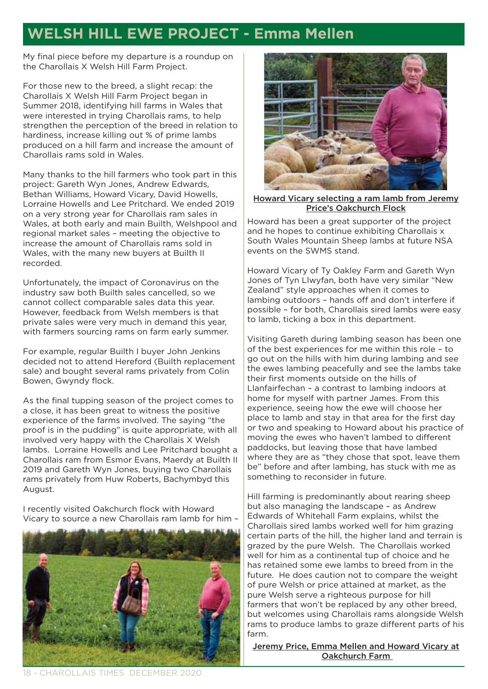# **WELSH HILL EWE PROJECT - Emma Mellen**

My final piece before my departure is a roundup on the Charollais X Welsh Hill Farm Project.

For those new to the breed, a slight recap: the Charollais X Welsh Hill Farm Project began in Summer 2018, identifying hill farms in Wales that were interested in trying Charollais rams, to help strengthen the perception of the breed in relation to hardiness, increase killing out % of prime lambs produced on a hill farm and increase the amount of Charollais rams sold in Wales.

Many thanks to the hill farmers who took part in this project: Gareth Wyn Jones, Andrew Edwards, Bethan Williams, Howard Vicary, David Howells, Lorraine Howells and Lee Pritchard. We ended 2019 on a very strong year for Charollais ram sales in Wales, at both early and main Builth, Welshpool and regional market sales – meeting the objective to increase the amount of Charollais rams sold in Wales, with the many new buyers at Builth II recorded.

Unfortunately, the impact of Coronavirus on the industry saw both Builth sales cancelled, so we cannot collect comparable sales data this year. However, feedback from Welsh members is that private sales were very much in demand this year, with farmers sourcing rams on farm early summer.

For example, regular Builth I buyer John Jenkins decided not to attend Hereford (Builth replacement sale) and bought several rams privately from Colin Bowen, Gwyndy flock.

As the final tupping season of the project comes to a close, it has been great to witness the positive experience of the farms involved. The saying "the proof is in the pudding" is quite appropriate, with all involved very happy with the Charollais X Welsh lambs. Lorraine Howells and Lee Pritchard bought a Charollais ram from Esmor Evans, Maerdy at Builth II 2019 and Gareth Wyn Jones, buying two Charollais rams privately from Huw Roberts, Bachymbyd this August.

I recently visited Oakchurch flock with Howard Vicary to source a new Charollais ram lamb for him –





Howard Vicary selecting a ram lamb from Jeremy Price's Oakchurch Flock

Howard has been a great supporter of the project and he hopes to continue exhibiting Charollais x South Wales Mountain Sheep lambs at future NSA events on the SWMS stand.

Howard Vicary of Ty Oakley Farm and Gareth Wyn Jones of Tyn Llwyfan, both have very similar "New Zealand" style approaches when it comes to lambing outdoors – hands off and don't interfere if possible – for both, Charollais sired lambs were easy to lamb, ticking a box in this department.

Visiting Gareth during lambing season has been one of the best experiences for me within this role – to go out on the hills with him during lambing and see the ewes lambing peacefully and see the lambs take their first moments outside on the hills of Llanfairfechan – a contrast to lambing indoors at home for myself with partner James. From this experience, seeing how the ewe will choose her place to lamb and stay in that area for the first day or two and speaking to Howard about his practice of moving the ewes who haven't lambed to different paddocks, but leaving those that have lambed where they are as "they chose that spot, leave them be" before and after lambing, has stuck with me as something to reconsider in future.

Hill farming is predominantly about rearing sheep but also managing the landscape – as Andrew Edwards of Whitehall Farm explains, whilst the Charollais sired lambs worked well for him grazing certain parts of the hill, the higher land and terrain is grazed by the pure Welsh. The Charollais worked well for him as a continental tup of choice and he has retained some ewe lambs to breed from in the future. He does caution not to compare the weight of pure Welsh or price attained at market, as the pure Welsh serve a righteous purpose for hill farmers that won't be replaced by any other breed, but welcomes using Charollais rams alongside Welsh rams to produce lambs to graze different parts of his farm.

**Jeremy Price, Emma Mellen and Howard Vicary at** Oakchurch Farm

18 - CHAROLLAIS TIMES DECEMBER 2020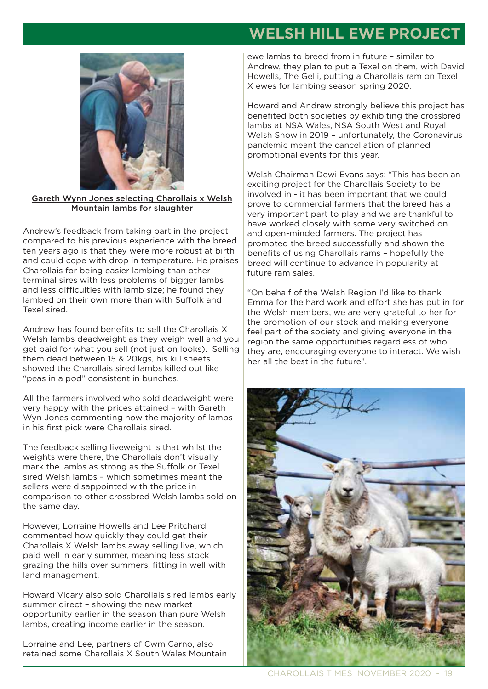# **WELSH HILL EWE PROJECT**



Gareth Wynn Jones selecting Charollais x Welsh Mountain lambs for slaughter

Andrew's feedback from taking part in the project compared to his previous experience with the breed ten years ago is that they were more robust at birth and could cope with drop in temperature. He praises Charollais for being easier lambing than other terminal sires with less problems of bigger lambs and less difficulties with lamb size; he found they lambed on their own more than with Suffolk and Texel sired.

Andrew has found benefits to sell the Charollais X Welsh lambs deadweight as they weigh well and you get paid for what you sell (not just on looks). Selling them dead between 15 & 20kgs, his kill sheets showed the Charollais sired lambs killed out like "peas in a pod" consistent in bunches.

All the farmers involved who sold deadweight were very happy with the prices attained – with Gareth Wyn Jones commenting how the majority of lambs in his first pick were Charollais sired.

The feedback selling liveweight is that whilst the weights were there, the Charollais don't visually mark the lambs as strong as the Suffolk or Texel sired Welsh lambs – which sometimes meant the sellers were disappointed with the price in comparison to other crossbred Welsh lambs sold on the same day.

However, Lorraine Howells and Lee Pritchard commented how quickly they could get their Charollais X Welsh lambs away selling live, which paid well in early summer, meaning less stock grazing the hills over summers, fitting in well with land management.

Howard Vicary also sold Charollais sired lambs early summer direct – showing the new market opportunity earlier in the season than pure Welsh lambs, creating income earlier in the season.

Lorraine and Lee, partners of Cwm Carno, also retained some Charollais X South Wales Mountain ewe lambs to breed from in future – similar to Andrew, they plan to put a Texel on them, with David Howells, The Gelli, putting a Charollais ram on Texel X ewes for lambing season spring 2020.

Howard and Andrew strongly believe this project has benefited both societies by exhibiting the crossbred lambs at NSA Wales, NSA South West and Royal Welsh Show in 2019 – unfortunately, the Coronavirus pandemic meant the cancellation of planned promotional events for this year.

Welsh Chairman Dewi Evans says: "This has been an exciting project for the Charollais Society to be involved in - it has been important that we could prove to commercial farmers that the breed has a very important part to play and we are thankful to have worked closely with some very switched on and open-minded farmers. The project has promoted the breed successfully and shown the benefits of using Charollais rams – hopefully the breed will continue to advance in popularity at future ram sales.

"On behalf of the Welsh Region I'd like to thank Emma for the hard work and effort she has put in for the Welsh members, we are very grateful to her for the promotion of our stock and making everyone feel part of the society and giving everyone in the region the same opportunities regardless of who they are, encouraging everyone to interact. We wish her all the best in the future".

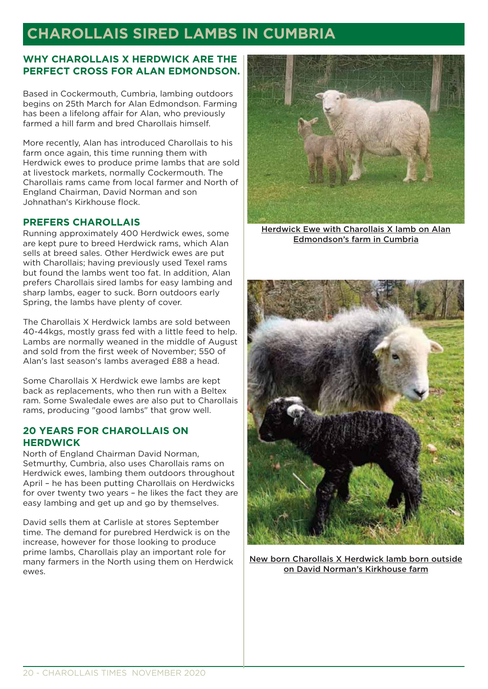# **CHAROLLAIS SIRED LAMBS IN CUMBRIA**

### **WHY CHAROLLAIS X HERDWICK ARE THE PERFECT CROSS FOR ALAN EDMONDSON.**

Based in Cockermouth, Cumbria, lambing outdoors begins on 25th March for Alan Edmondson. Farming has been a lifelong affair for Alan, who previously farmed a hill farm and bred Charollais himself.

More recently, Alan has introduced Charollais to his farm once again, this time running them with Herdwick ewes to produce prime lambs that are sold at livestock markets, normally Cockermouth. The Charollais rams came from local farmer and North of England Chairman, David Norman and son Johnathan's Kirkhouse flock.

### **PREFERS CHAROLLAIS**

Running approximately 400 Herdwick ewes, some are kept pure to breed Herdwick rams, which Alan sells at breed sales. Other Herdwick ewes are put with Charollais; having previously used Texel rams but found the lambs went too fat. In addition, Alan prefers Charollais sired lambs for easy lambing and sharp lambs, eager to suck. Born outdoors early Spring, the lambs have plenty of cover.

The Charollais X Herdwick lambs are sold between 40-44kgs, mostly grass fed with a little feed to help. Lambs are normally weaned in the middle of August and sold from the first week of November; 550 of Alan's last season's lambs averaged £88 a head.

Some Charollais X Herdwick ewe lambs are kept back as replacements, who then run with a Beltex ram. Some Swaledale ewes are also put to Charollais rams, producing "good lambs" that grow well.

### **20 YEARS FOR CHAROLLAIS ON HERDWICK**

North of England Chairman David Norman, Setmurthy, Cumbria, also uses Charollais rams on Herdwick ewes, lambing them outdoors throughout April – he has been putting Charollais on Herdwicks for over twenty two years – he likes the fact they are easy lambing and get up and go by themselves.

David sells them at Carlisle at stores September time. The demand for purebred Herdwick is on the increase, however for those looking to produce prime lambs, Charollais play an important role for many farmers in the North using them on Herdwick ewes.



Herdwick Ewe with Charollais X lamb on Alan Edmondson's farm in Cumbria



New born Charollais X Herdwick lamb born outside on David Norman's Kirkhouse farm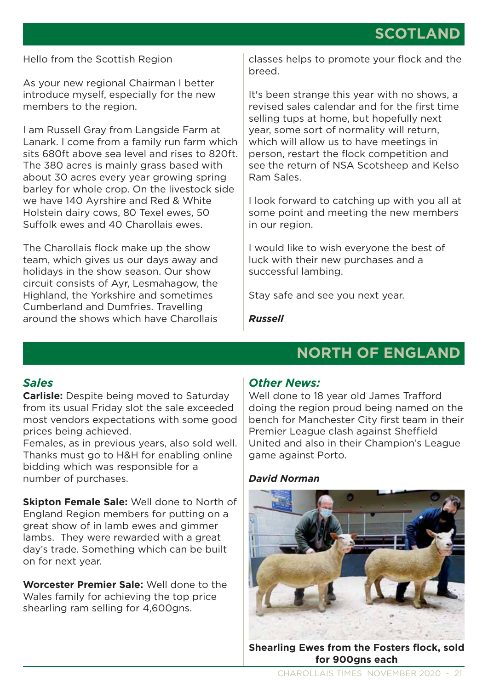### Hello from the Scottish Region

As your new regional Chairman I better introduce myself, especially for the new members to the region.

I am Russell Gray from Langside Farm at Lanark. I come from a family run farm which sits 680ft above sea level and rises to 820ft. The 380 acres is mainly grass based with about 30 acres every year growing spring barley for whole crop. On the livestock side we have 140 Ayrshire and Red & White Holstein dairy cows, 80 Texel ewes, 50 Suffolk ewes and 40 Charollais ewes.

The Charollais flock make up the show team, which gives us our days away and holidays in the show season. Our show circuit consists of Ayr, Lesmahagow, the Highland, the Yorkshire and sometimes Cumberland and Dumfries. Travelling around the shows which have Charollais

classes helps to promote your flock and the breed.

It's been strange this year with no shows, a revised sales calendar and for the first time selling tups at home, but hopefully next year, some sort of normality will return, which will allow us to have meetings in person, restart the flock competition and see the return of NSA Scotsheep and Kelso Ram Sales.

I look forward to catching up with you all at some point and meeting the new members in our region.

I would like to wish everyone the best of luck with their new purchases and a successful lambing.

Stay safe and see you next year.

*Russell* 

### *Sales*

**Carlisle:** Despite being moved to Saturday from its usual Friday slot the sale exceeded most vendors expectations with some good prices being achieved.

Females, as in previous years, also sold well. Thanks must go to H&H for enabling online bidding which was responsible for a number of purchases.

**Skipton Female Sale:** Well done to North of England Region members for putting on a great show of in lamb ewes and gimmer lambs. They were rewarded with a great day's trade. Something which can be built on for next year.

**Worcester Premier Sale:** Well done to the Wales family for achieving the top price shearling ram selling for 4,600gns.

### *Other News:*

Well done to 18 year old James Trafford doing the region proud being named on the bench for Manchester City first team in their Premier League clash against Sheffield United and also in their Champion's League game against Porto.

**NORTH OF ENGLAND**

### *David Norman*



**Shearling Ewes from the Fosters flock, sold for 900gns each**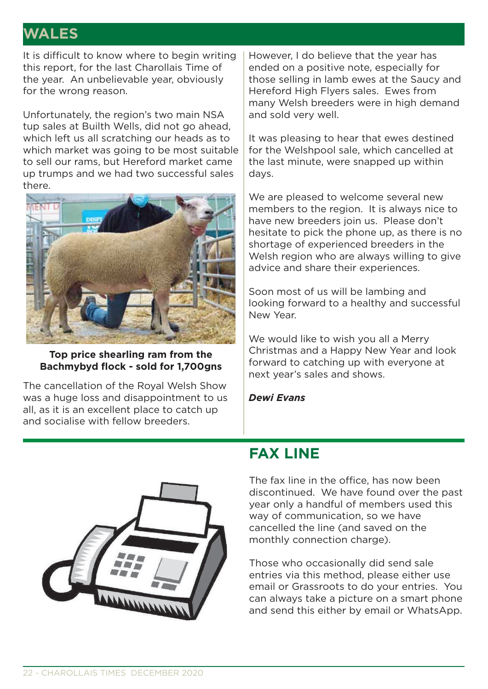# **WALES**

It is difficult to know where to begin writing this report, for the last Charollais Time of the year. An unbelievable year, obviously for the wrong reason.

Unfortunately, the region's two main NSA tup sales at Builth Wells, did not go ahead, which left us all scratching our heads as to which market was going to be most suitable to sell our rams, but Hereford market came up trumps and we had two successful sales there.



**Top price shearling ram from the Bachmybyd flock - sold for 1,700gns**

The cancellation of the Royal Welsh Show was a huge loss and disappointment to us all, as it is an excellent place to catch up and socialise with fellow breeders.

However, I do believe that the year has ended on a positive note, especially for those selling in lamb ewes at the Saucy and Hereford High Flyers sales. Ewes from many Welsh breeders were in high demand and sold very well.

It was pleasing to hear that ewes destined for the Welshpool sale, which cancelled at the last minute, were snapped up within days.

We are pleased to welcome several new members to the region. It is always nice to have new breeders join us. Please don't hesitate to pick the phone up, as there is no shortage of experienced breeders in the Welsh region who are always willing to give advice and share their experiences.

Soon most of us will be lambing and looking forward to a healthy and successful New Year.

We would like to wish you all a Merry Christmas and a Happy New Year and look forward to catching up with everyone at next year's sales and shows.

*Dewi Evans*



# **FAX LINE**

The fax line in the office, has now been discontinued. We have found over the past year only a handful of members used this way of communication, so we have cancelled the line (and saved on the monthly connection charge).

Those who occasionally did send sale entries via this method, please either use email or Grassroots to do your entries. You can always take a picture on a smart phone and send this either by email or WhatsApp.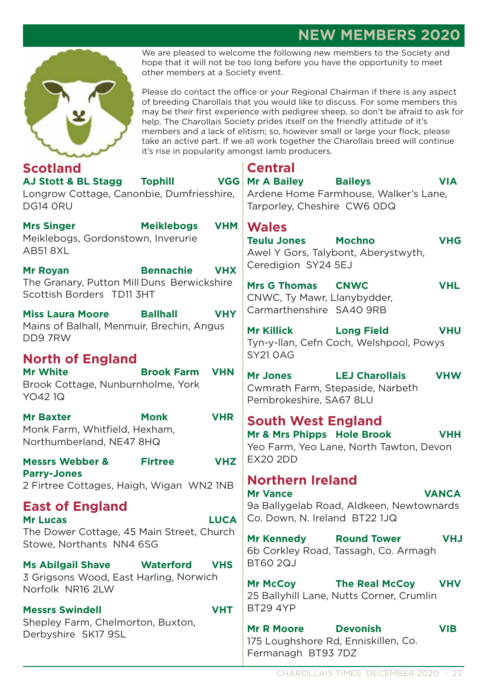# **NEW MEMBERS 2020**



We are pleased to welcome the following new members to the Society and hope that it will not be too long before you have the opportunity to meet other members at a Society event.

Please do contact the office or your Regional Chairman if there is any aspect of breeding Charollais that you would like to discuss. For some members this may be their first experience with pedigree sheep, so don't be afraid to ask for help. The Charollais Society prides itself on the friendly attitude of it's members and a lack of elitism; so, however small or large your flock, please take an active part. If we all work together the Charollais breed will continue it's rise in popularity amongst lamb producers.

| <b>Scotland</b>                                                                                            |                   |            | <b>Central</b>                                                                                                   |                                                                   |            |
|------------------------------------------------------------------------------------------------------------|-------------------|------------|------------------------------------------------------------------------------------------------------------------|-------------------------------------------------------------------|------------|
| AJ Stott & BL Stagg Tophill<br>Longrow Cottage, Canonbie, Dumfriesshire,<br>DG14 ORU                       |                   | <b>VGG</b> | <b>Mr A Bailey</b><br>Tarporley, Cheshire CW6 ODQ                                                                | <b>Baileys</b><br>Ardene Home Farmhouse, Walker's Lane,           | <b>VIA</b> |
| <b>Mrs Singer</b><br>Meiklebogs, Gordonstown, Inverurie<br><b>AB518XL</b>                                  | <b>Meiklebogs</b> | <b>VHM</b> | <b>Wales</b><br><b>Teulu Jones</b>                                                                               | <b>Mochno</b><br>Awel Y Gors, Talybont, Aberystwyth,              | <b>VHG</b> |
| <b>Mr Royan</b><br>The Granary, Putton Mill Duns Berwickshire<br>Scottish Borders TD11 3HT                 | <b>Bennachie</b>  | <b>VHX</b> | Ceredigion SY24 5EJ<br><b>Mrs G Thomas</b><br>CNWC, Ty Mawr, Llanybydder,                                        | <b>CNWC</b>                                                       | <b>VHL</b> |
| <b>Miss Laura Moore</b>                                                                                    | <b>Ballhall</b>   | <b>VHY</b> | Carmarthenshire SA40 9RB                                                                                         |                                                                   |            |
| Mains of Balhall, Menmuir, Brechin, Angus<br>DD97RW                                                        |                   |            | <b>Mr Killick</b>                                                                                                | <b>Long Field</b><br>Tyn-y-llan, Cefn Coch, Welshpool, Powys      | <b>VHU</b> |
| <b>North of England</b>                                                                                    |                   |            | <b>SY21 OAG</b>                                                                                                  |                                                                   |            |
| <b>Mr White</b><br><b>Brook Farm</b><br>Brook Cottage, Nunburnholme, York<br>YO421Q                        |                   | <b>VHN</b> | <b>Mr Jones</b><br><b>LEJ Charollais</b><br>Cwmrath Farm, Stepaside, Narbeth<br>Pembrokeshire, SA67 8LU          |                                                                   | <b>VHW</b> |
| <b>VHR</b><br><b>Monk</b><br><b>Mr Baxter</b><br>Monk Farm, Whitfield, Hexham,<br>Northumberland, NE47 8HQ |                   |            | <b>South West England</b><br>Mr & Mrs Phipps Hole Brook<br><b>VHH</b><br>Yeo Farm, Yeo Lane, North Tawton, Devon |                                                                   |            |
| <b>Messrs Webber &amp;</b>                                                                                 | <b>Firtree</b>    | <b>VHZ</b> | <b>EX20 2DD</b>                                                                                                  |                                                                   |            |
| <b>Parry-Jones</b><br>2 Firtree Cottages, Haigh, Wigan WN2 1NB                                             |                   |            | <b>Northern Ireland</b><br><b>Mr Vance</b>                                                                       |                                                                   |            |
| <b>East of England</b><br><b>LUCA</b><br><b>Mr Lucas</b>                                                   |                   |            | <b>VANCA</b><br>9a Ballygelab Road, Aldkeen, Newtownards<br>Co. Down, N. Ireland BT22 1JQ                        |                                                                   |            |
| The Dower Cottage, 45 Main Street, Church<br>Stowe, Northants NN4 6SG                                      |                   |            | <b>Mr Kennedy</b>                                                                                                | <b>Round Tower</b><br>6b Corkley Road, Tassagh, Co. Armagh        | <b>VHJ</b> |
| <b>Ms Abilgail Shave</b>                                                                                   | <b>Waterford</b>  | <b>VHS</b> | <b>BT60 2QJ</b>                                                                                                  |                                                                   |            |
| 3 Grigsons Wood, East Harling, Norwich<br>Norfolk NR16 2LW                                                 |                   |            | <b>Mr McCoy</b>                                                                                                  | <b>The Real McCoy</b><br>25 Ballyhill Lane, Nutts Corner, Crumlin | <b>VHV</b> |
| <b>Messrs Swindell</b>                                                                                     |                   | <b>VHT</b> | <b>BT29 4YP</b>                                                                                                  |                                                                   |            |
| Shepley Farm, Chelmorton, Buxton,<br>Derbyshire SK17 9SL                                                   |                   |            | <b>Devonish</b><br><b>Mr R Moore</b><br><b>VIB</b><br>175 Loughshore Rd, Enniskillen, Co.<br>Fermanagh BT93 7DZ  |                                                                   |            |